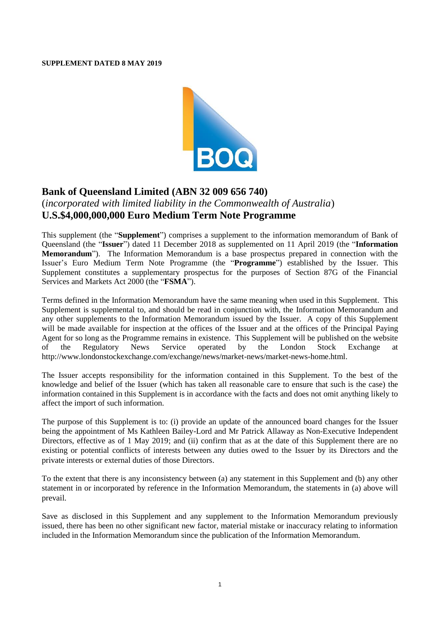#### **SUPPLEMENT DATED 8 MAY 2019**



# **Bank of Queensland Limited (ABN 32 009 656 740)**

## (*incorporated with limited liability in the Commonwealth of Australia*) **U.S.\$4,000,000,000 Euro Medium Term Note Programme**

This supplement (the "**Supplement**") comprises a supplement to the information memorandum of Bank of Queensland (the "**Issuer**") dated 11 December 2018 as supplemented on 11 April 2019 (the "**Information Memorandum**"). The Information Memorandum is a base prospectus prepared in connection with the Issuer's Euro Medium Term Note Programme (the "**Programme**") established by the Issuer. This Supplement constitutes a supplementary prospectus for the purposes of Section 87G of the Financial Services and Markets Act 2000 (the "**FSMA**").

Terms defined in the Information Memorandum have the same meaning when used in this Supplement. This Supplement is supplemental to, and should be read in conjunction with, the Information Memorandum and any other supplements to the Information Memorandum issued by the Issuer. A copy of this Supplement will be made available for inspection at the offices of the Issuer and at the offices of the Principal Paying Agent for so long as the Programme remains in existence. This Supplement will be published on the website of the Regulatory News Service operated by the London Stock Exchange at [http://www.londonstockexchange.com/exchange/news/market-news/market-news-home.html.](http://www.londonstockexchange.com/exchange/news/market-news/market-news-home.html)

The Issuer accepts responsibility for the information contained in this Supplement. To the best of the knowledge and belief of the Issuer (which has taken all reasonable care to ensure that such is the case) the information contained in this Supplement is in accordance with the facts and does not omit anything likely to affect the import of such information.

The purpose of this Supplement is to: (i) provide an update of the announced board changes for the Issuer being the appointment of Ms Kathleen Bailey-Lord and Mr Patrick Allaway as Non-Executive Independent Directors, effective as of 1 May 2019; and (ii) confirm that as at the date of this Supplement there are no existing or potential conflicts of interests between any duties owed to the Issuer by its Directors and the private interests or external duties of those Directors.

To the extent that there is any inconsistency between (a) any statement in this Supplement and (b) any other statement in or incorporated by reference in the Information Memorandum, the statements in (a) above will prevail.

Save as disclosed in this Supplement and any supplement to the Information Memorandum previously issued, there has been no other significant new factor, material mistake or inaccuracy relating to information included in the Information Memorandum since the publication of the Information Memorandum.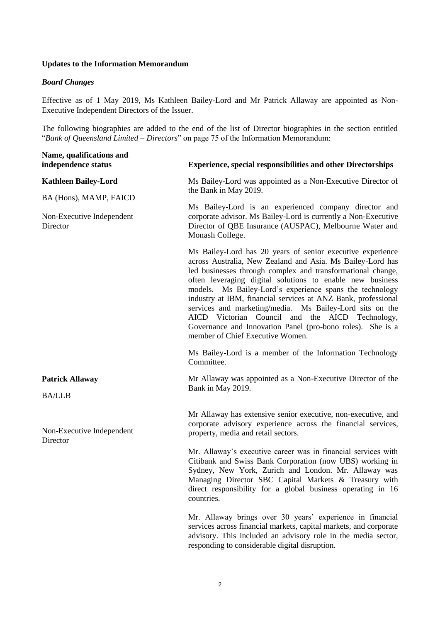### **Updates to the Information Memorandum**

#### *Board Changes*

Effective as of 1 May 2019, Ms Kathleen Bailey-Lord and Mr Patrick Allaway are appointed as Non-Executive Independent Directors of the Issuer.

The following biographies are added to the end of the list of Director biographies in the section entitled "*Bank of Queensland Limited – Directors*" on page 75 of the Information Memorandum:

| Name, qualifications and<br>independence status       | <b>Experience, special responsibilities and other Directorships</b>                                                                                                                                                                                                                                                                                                                                                                                                                                                                                                                                |
|-------------------------------------------------------|----------------------------------------------------------------------------------------------------------------------------------------------------------------------------------------------------------------------------------------------------------------------------------------------------------------------------------------------------------------------------------------------------------------------------------------------------------------------------------------------------------------------------------------------------------------------------------------------------|
| <b>Kathleen Bailey-Lord</b><br>BA (Hons), MAMP, FAICD | Ms Bailey-Lord was appointed as a Non-Executive Director of<br>the Bank in May 2019.                                                                                                                                                                                                                                                                                                                                                                                                                                                                                                               |
| Non-Executive Independent<br>Director                 | Ms Bailey-Lord is an experienced company director and<br>corporate advisor. Ms Bailey-Lord is currently a Non-Executive<br>Director of QBE Insurance (AUSPAC), Melbourne Water and<br>Monash College.                                                                                                                                                                                                                                                                                                                                                                                              |
|                                                       | Ms Bailey-Lord has 20 years of senior executive experience<br>across Australia, New Zealand and Asia. Ms Bailey-Lord has<br>led businesses through complex and transformational change,<br>often leveraging digital solutions to enable new business<br>models. Ms Bailey-Lord's experience spans the technology<br>industry at IBM, financial services at ANZ Bank, professional<br>services and marketing/media. Ms Bailey-Lord sits on the<br>AICD Victorian Council and the AICD Technology,<br>Governance and Innovation Panel (pro-bono roles). She is a<br>member of Chief Executive Women. |
|                                                       | Ms Bailey-Lord is a member of the Information Technology<br>Committee.                                                                                                                                                                                                                                                                                                                                                                                                                                                                                                                             |
| <b>Patrick Allaway</b><br><b>BA/LLB</b>               | Mr Allaway was appointed as a Non-Executive Director of the<br>Bank in May 2019.                                                                                                                                                                                                                                                                                                                                                                                                                                                                                                                   |
| Non-Executive Independent<br>Director                 | Mr Allaway has extensive senior executive, non-executive, and<br>corporate advisory experience across the financial services,<br>property, media and retail sectors.                                                                                                                                                                                                                                                                                                                                                                                                                               |
|                                                       | Mr. Allaway's executive career was in financial services with<br>Citibank and Swiss Bank Corporation (now UBS) working in<br>Sydney, New York, Zurich and London. Mr. Allaway was<br>Managing Director SBC Capital Markets & Treasury with<br>direct responsibility for a global business operating in 16<br>countries.                                                                                                                                                                                                                                                                            |
|                                                       | Mr. Allaway brings over 30 years' experience in financial<br>services across financial markets, capital markets, and corporate<br>advisory. This included an advisory role in the media sector,<br>responding to considerable digital disruption.                                                                                                                                                                                                                                                                                                                                                  |